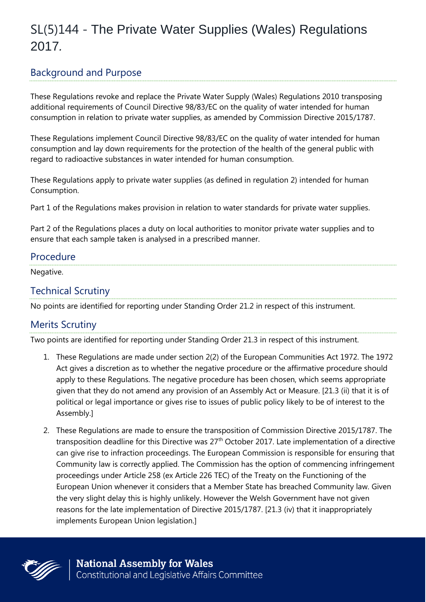# SL(5)144 - The Private Water Supplies (Wales) Regulations 2017*.*

## Background and Purpose

These Regulations revoke and replace the Private Water Supply (Wales) Regulations 2010 transposing additional requirements of Council Directive 98/83/EC on the quality of water intended for human consumption in relation to private water supplies, as amended by Commission Directive 2015/1787.

These Regulations implement Council Directive 98/83/EC on the quality of water intended for human consumption and lay down requirements for the protection of the health of the general public with regard to radioactive substances in water intended for human consumption.

These Regulations apply to private water supplies (as defined in regulation 2) intended for human Consumption.

Part 1 of the Regulations makes provision in relation to water standards for private water supplies.

Part 2 of the Regulations places a duty on local authorities to monitor private water supplies and to ensure that each sample taken is analysed in a prescribed manner.

#### Procedure

Negative.

### Technical Scrutiny

No points are identified for reporting under Standing Order 21.2 in respect of this instrument.

## Merits Scrutiny

Two points are identified for reporting under Standing Order 21.3 in respect of this instrument.

- 1. These Regulations are made under section 2(2) of the European Communities Act 1972. The 1972 Act gives a discretion as to whether the negative procedure or the affirmative procedure should apply to these Regulations. The negative procedure has been chosen, which seems appropriate given that they do not amend any provision of an Assembly Act or Measure. [21.3 (ii) that it is of political or legal importance or gives rise to issues of public policy likely to be of interest to the Assembly.]
- 2. These Regulations are made to ensure the transposition of Commission Directive 2015/1787. The transposition deadline for this Directive was 27<sup>th</sup> October 2017. Late implementation of a directive can give rise to infraction proceedings. The European Commission is responsible for ensuring that Community law is correctly applied. The Commission has the option of commencing infringement proceedings under Article 258 (ex Article 226 TEC) of the Treaty on the Functioning of the European Union whenever it considers that a Member State has breached Community law. Given the very slight delay this is highly unlikely. However the Welsh Government have not given reasons for the late implementation of Directive 2015/1787. [21.3 (iv) that it inappropriately implements European Union legislation.]